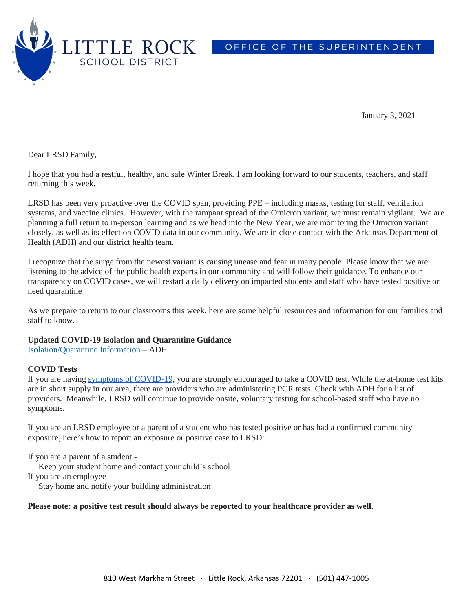

OFFICE OF THE SUPERINTENDENT

January 3, 2021

Dear LRSD Family,

I hope that you had a restful, healthy, and safe Winter Break. I am looking forward to our students, teachers, and staff returning this week.

LRSD has been very proactive over the COVID span, providing PPE – including masks, testing for staff, ventilation systems, and vaccine clinics. However, with the rampant spread of the Omicron variant, we must remain vigilant. We are planning a full return to in-person learning and as we head into the New Year, we are monitoring the Omicron variant closely, as well as its effect on COVID data in our community. We are in close contact with the Arkansas Department of Health (ADH) and our district health team.

I recognize that the surge from the newest variant is causing unease and fear in many people. Please know that we are listening to the advice of the public health experts in our community and will follow their guidance. To enhance our transparency on COVID cases, we will restart a daily delivery on impacted students and staff who have tested positive or need quarantine

As we prepare to return to our classrooms this week, here are some helpful resources and information for our families and staff to know.

# **Updated COVID-19 Isolation and Quarantine Guidance**

[Isolation/Quarantine](https://www.healthy.arkansas.gov/programs-services/topics/covid-19-guidance-for-self-home-isolation) Information – ADH

# **COVID Tests**

If you are having symptoms of [COVID-19,](https://www.cdc.gov/coronavirus/2019-ncov/symptoms-testing/symptoms.html) you are strongly encouraged to take a COVID test. While the at-home test kits are in short supply in our area, there are providers who are administering PCR tests. Check with ADH for a list of providers. Meanwhile, LRSD will continue to provide onsite, voluntary testing for school-based staff who have no symptoms.

If you are an LRSD employee or a parent of a student who has tested positive or has had a confirmed community exposure, here's how to report an exposure or positive case to LRSD:

If you are a parent of a student -

Keep your student home and contact your child's school

If you are an employee -

Stay home and notify your building administration

#### **Please note: a positive test result should always be reported to your healthcare provider as well.**